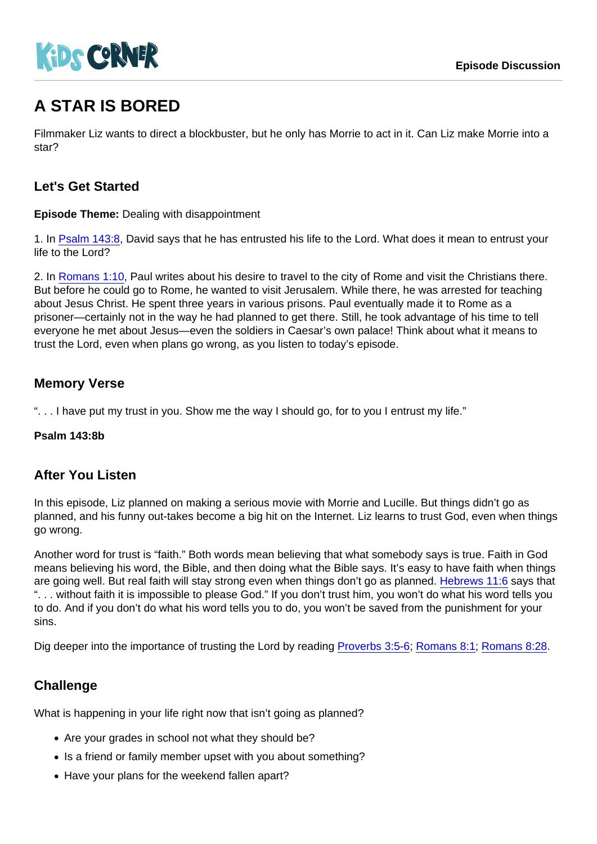# A STAR IS BORED

Filmmaker Liz wants to direct a blockbuster, but he only has Morrie to act in it. Can Liz make Morrie into a star?

## Let's Get Started

Episode Theme: Dealing with disappointment

1. In [Psalm 143:8,](https://www.biblegateway.com/passage/?search=Psalm+143:8) David says that he has entrusted his life to the Lord. What does it mean to entrust your life to the Lord?

2. In [Romans 1:10,](https://www.biblegateway.com/passage/?search=Romans+1:10) Paul writes about his desire to travel to the city of Rome and visit the Christians there. But before he could go to Rome, he wanted to visit Jerusalem. While there, he was arrested for teaching about Jesus Christ. He spent three years in various prisons. Paul eventually made it to Rome as a prisoner—certainly not in the way he had planned to get there. Still, he took advantage of his time to tell everyone he met about Jesus—even the soldiers in Caesar's own palace! Think about what it means to trust the Lord, even when plans go wrong, as you listen to today's episode.

## Memory Verse

". . . I have put my trust in you. Show me the way I should go, for to you I entrust my life."

Psalm 143:8b

#### After You Listen

In this episode, Liz planned on making a serious movie with Morrie and Lucille. But things didn't go as planned, and his funny out-takes become a big hit on the Internet. Liz learns to trust God, even when things go wrong.

Another word for trust is "faith." Both words mean believing that what somebody says is true. Faith in God means believing his word, the Bible, and then doing what the Bible says. It's easy to have faith when things are going well. But real faith will stay strong even when things don't go as planned. [Hebrews 11:6](https://www.biblegateway.com/passage/?search=Hebrews+11:6) says that ". . . without faith it is impossible to please God." If you don't trust him, you won't do what his word tells you to do. And if you don't do what his word tells you to do, you won't be saved from the punishment for your sins.

Dig deeper into the importance of trusting the Lord by reading [Proverbs 3:5-6;](https://www.biblegateway.com/passage/?search=Proverbs+3:5-6) [Romans 8:1](https://www.biblegateway.com/passage/?search=Romans+8:1); [Romans 8:28.](https://www.biblegateway.com/passage/?search=Romans+8:28)

## **Challenge**

What is happening in your life right now that isn't going as planned?

- Are your grades in school not what they should be?
- Is a friend or family member upset with you about something?
- Have your plans for the weekend fallen apart?